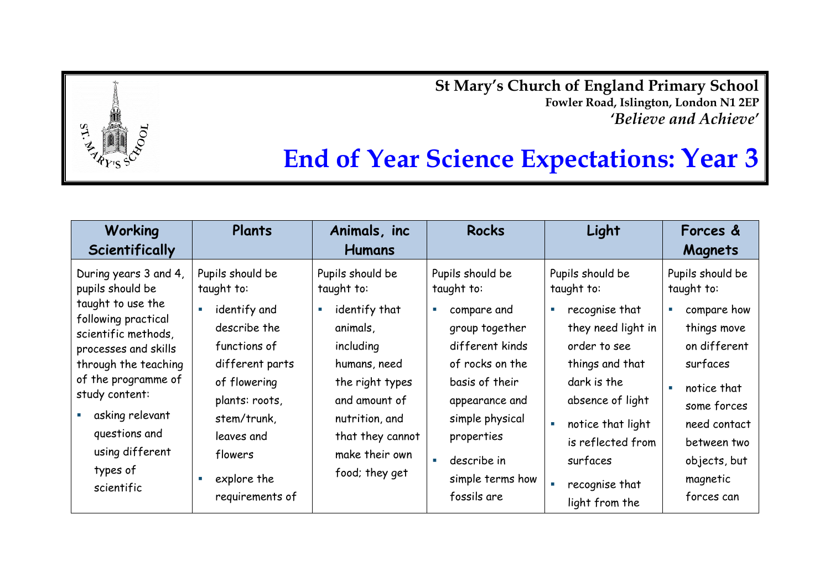**St Mary's Church of England Primary School Fowler Road, Islington, London N1 2EP** *'Believe and Achieve'*



| <b>Working</b><br>Scientifically                                                                                                                                                                                                                                                       | Plants                                                                                                                                                                                                                                       | Animals, inc<br><b>Humans</b>                                                                                                                                                                          | <b>Rocks</b>                                                                                                                                                                                                                             | Light                                                                                                                                                                                                                                                   | Forces &<br>Magnets                                                                                                                                                                             |
|----------------------------------------------------------------------------------------------------------------------------------------------------------------------------------------------------------------------------------------------------------------------------------------|----------------------------------------------------------------------------------------------------------------------------------------------------------------------------------------------------------------------------------------------|--------------------------------------------------------------------------------------------------------------------------------------------------------------------------------------------------------|------------------------------------------------------------------------------------------------------------------------------------------------------------------------------------------------------------------------------------------|---------------------------------------------------------------------------------------------------------------------------------------------------------------------------------------------------------------------------------------------------------|-------------------------------------------------------------------------------------------------------------------------------------------------------------------------------------------------|
| During years 3 and 4,<br>pupils should be<br>taught to use the<br>following practical<br>scientific methods,<br>processes and skills<br>through the teaching<br>of the programme of<br>study content:<br>asking relevant<br>questions and<br>using different<br>types of<br>scientific | Pupils should be<br>taught to:<br>identify and<br>$\mathcal{L}_{\mathcal{A}}$<br>describe the<br>functions of<br>different parts<br>of flowering<br>plants: roots,<br>stem/trunk,<br>leaves and<br>flowers<br>explore the<br>requirements of | Pupils should be<br>taught to:<br>identify that<br>animals,<br>including<br>humans, need<br>the right types<br>and amount of<br>nutrition, and<br>that they cannot<br>make their own<br>food; they get | Pupils should be<br>taught to:<br>compare and<br>T.<br>group together<br>different kinds<br>of rocks on the<br>basis of their<br>appearance and<br>simple physical<br>properties<br>describe in<br>m.<br>simple terms how<br>fossils are | Pupils should be<br>taught to:<br>recognise that<br>they need light in<br>order to see<br>things and that<br>dark is the<br>absence of light<br>notice that light<br>$\mathcal{C}$<br>is reflected from<br>surfaces<br>recognise that<br>light from the | Pupils should be<br>taught to:<br>compare how<br>things move<br>on different<br>surfaces<br>notice that<br>some forces<br>need contact<br>between two<br>objects, but<br>magnetic<br>forces can |

ST.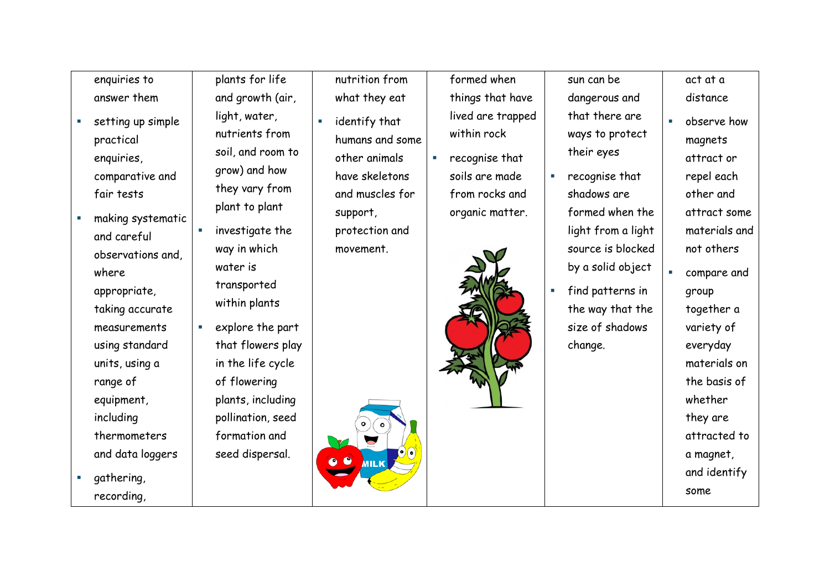enquiries to answer them

- **setting up simple** practical enquiries, comparative and fair tests
- **making systematic** and careful observations and, where appropriate, taking accurate measurements using standard units, using a range of equipment, including thermometers and data loggers

 gathering, recording,

plants for life and growth (air,

- light, water, nutrients from soil, and room to grow) and how they vary from plant to plant
	- investigate the way in which water is transported within plants
- $\blacksquare$  explore the part that flowers play in the life cycle of flowering plants, including pollination, seed formation and seed dispersal.

nutrition from what they eat

 identify that humans and some other animals have skeletons and muscles for support, protection and

movement.

formed when things that have lived are trapped within rock

**•** recognise that soils are made from rocks and organic matter.



sun can be dangerous and that there are ways to protect

their eyes

- recognise that shadows are formed when the light from a light source is blocked by a solid object
- find patterns in the way that the size of shadows change.

act at a distance

 observe how magnets attract or repel each other and attract some materials and not others compare and group together a

> variety of everyday materials on the basis of whether they are attracted to a magnet, and identify

some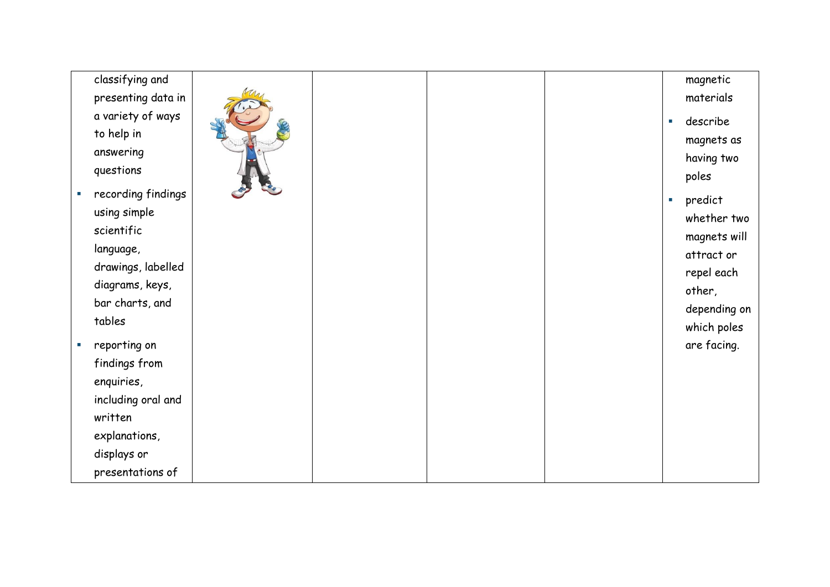| classifying and          |  |  | magnetic                             |
|--------------------------|--|--|--------------------------------------|
| presenting data in       |  |  | materials                            |
| a variety of ways        |  |  | describe<br>$\overline{\phantom{a}}$ |
| to help in               |  |  | magnets as                           |
| answering                |  |  |                                      |
| questions                |  |  | having two                           |
|                          |  |  | poles                                |
| recording findings<br>×. |  |  | predict<br>$\overline{\phantom{a}}$  |
| using simple             |  |  | whether two                          |
| scientific               |  |  | magnets will                         |
| language,                |  |  | attract or                           |
| drawings, labelled       |  |  | repel each                           |
| diagrams, keys,          |  |  | other,                               |
| bar charts, and          |  |  |                                      |
| tables                   |  |  | depending on                         |
|                          |  |  | which poles                          |
| reporting on<br>×.       |  |  | are facing.                          |
| findings from            |  |  |                                      |
| enquiries,               |  |  |                                      |
| including oral and       |  |  |                                      |
| written                  |  |  |                                      |
| explanations,            |  |  |                                      |
| displays or              |  |  |                                      |
| presentations of         |  |  |                                      |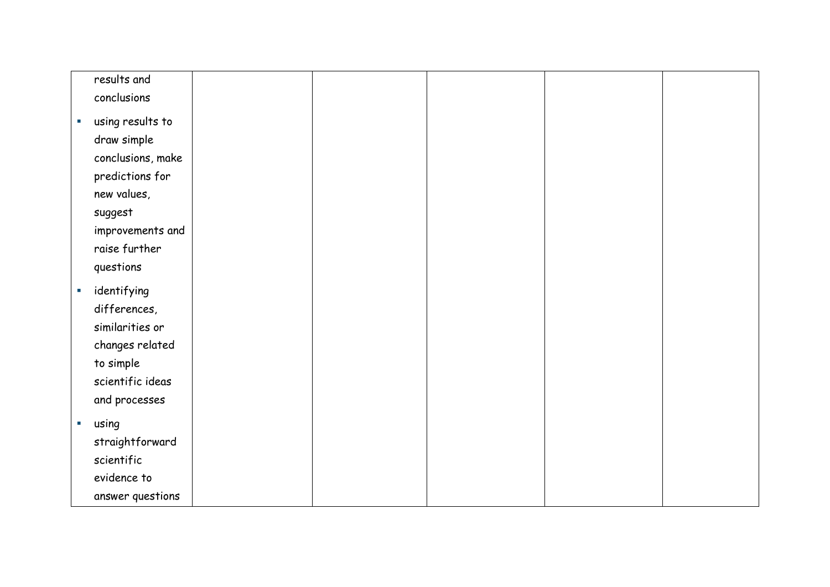|    | results and       |  |  |  |
|----|-------------------|--|--|--|
|    |                   |  |  |  |
|    | conclusions       |  |  |  |
| ×. | using results to  |  |  |  |
|    | draw simple       |  |  |  |
|    | conclusions, make |  |  |  |
|    | predictions for   |  |  |  |
|    | new values,       |  |  |  |
|    | suggest           |  |  |  |
|    | improvements and  |  |  |  |
|    | raise further     |  |  |  |
|    | questions         |  |  |  |
| u. | identifying       |  |  |  |
|    | differences,      |  |  |  |
|    | similarities or   |  |  |  |
|    | changes related   |  |  |  |
|    | to simple         |  |  |  |
|    | scientific ideas  |  |  |  |
|    | and processes     |  |  |  |
| a. | using             |  |  |  |
|    | straightforward   |  |  |  |
|    | scientific        |  |  |  |
|    | evidence to       |  |  |  |
|    | answer questions  |  |  |  |